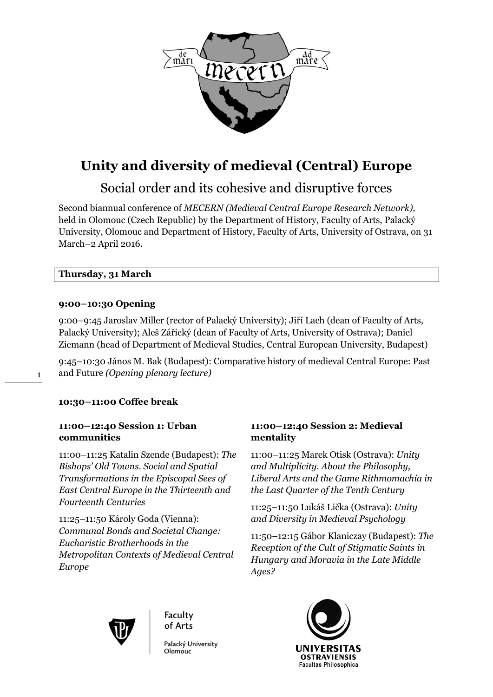

# **Unity and diversity of medieval (Central) Europe**

# Social order and its cohesive and disruptive forces

Second biannual conference of *MECERN (Medieval Central Europe Research Network),* held in Olomouc (Czech Republic) by the Department of History, Faculty of Arts, Palacký University, Olomouc and Department of History, Faculty of Arts, University of Ostrava, on 31 March–2 April 2016.

# **Thursday, 31 March**

# **9:00–10:30 Opening**

1

9:00–9:45 Jaroslav Miller (rector of Palacký University); Jiří Lach (dean of Faculty of Arts, Palacký University); Aleš Zářický (dean of Faculty of Arts, University of Ostrava); Daniel Ziemann (head of Department of Medieval Studies, Central European University, Budapest)

9:45–10:30 János M. Bak (Budapest): Comparative history of medieval Central Europe: Past and Future *(Opening plenary lecture)*

# **10:30–11:00 Coffee break**

# **11:00–12:40 Session 1: Urban communities**

11:00–11:25 Katalin Szende (Budapest): *The Bishops' Old Towns. Social and Spatial Transformations in the Episcopal Sees of East Central Europe in the Thirteenth and Fourteenth Centuries*

11:25–11:50 Károly Goda (Vienna): *Communal Bonds and Societal Change: Eucharistic Brotherhoods in the Metropolitan Contexts of Medieval Central Europe*

# **11:00–12:40 Session 2: Medieval mentality**

11:00–11:25 Marek Otisk (Ostrava): *Unity and Multiplicity. About the Philosophy, Liberal Arts and the Game Rithmomachia in the Last Quarter of the Tenth Century*

11:25–11:50 Lukáš Lička (Ostrava): *Unity and Diversity in Medieval Psychology*

11:50–12:15 Gábor Klaniczay (Budapest): *The Reception of the Cult of Stigmatic Saints in Hungary and Moravia in the Late Middle Ages?*



Faculty of Arts

Palacký University Olomouc

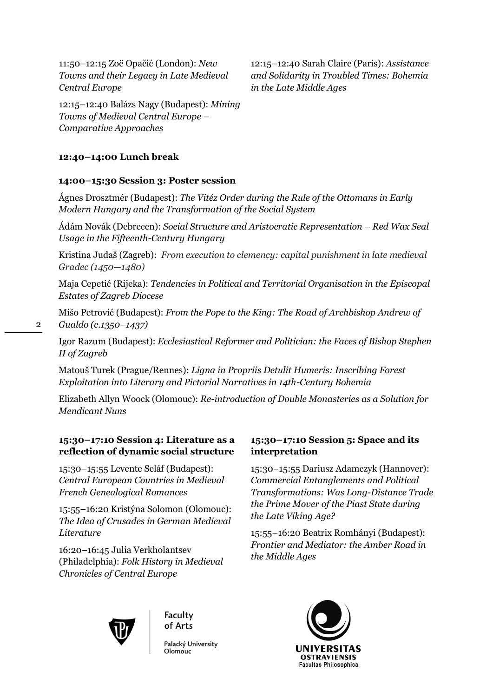11:50–12:15 Zoë Opačić (London): *New Towns and their Legacy in Late Medieval Central Europe*

12:15–12:40 Balázs Nagy (Budapest): *Mining Towns of Medieval Central Europe – Comparative Approaches*

**12:40–14:00 Lunch break**

## **14:00–15:30 Session 3: Poster session**

Ágnes Drosztmér (Budapest): *The Vitéz Order during the Rule of the Ottomans in Early Modern Hungary and the Transformation of the Social System*

Ádám Novák (Debrecen): *Social Structure and Aristocratic Representation – Red Wax Seal Usage in the Fifteenth-Century Hungary*

Kristina Judaš (Zagreb): *From execution to clemency: capital punishment in late medieval Gradec (1450—1480)*

Maja Cepetić (Rijeka): *Tendencies in Political and Territorial Organisation in the Episcopal Estates of Zagreb Diocese*

Mišo Petrović (Budapest): *From the Pope to the King: The Road of Archbishop Andrew of Gualdo (c.1350–1437)*

Igor Razum (Budapest): *Ecclesiastical Reformer and Politician: the Faces of Bishop Stephen II of Zagreb*

Matouš Turek (Prague/Rennes): *Ligna in Propriis Detulit Humeris: Inscribing Forest Exploitation into Literary and Pictorial Narratives in 14th-Century Bohemia*

Elizabeth Allyn Woock (Olomouc): *Re-introduction of Double Monasteries as a Solution for Mendicant Nuns*

# **15:30–17:10 Session 4: Literature as a reflection of dynamic social structure**

15:30–15:55 Levente Seláf (Budapest): *Central European Countries in Medieval French Genealogical Romances*

15:55–16:20 Kristýna Solomon (Olomouc): *The Idea of Crusades in German Medieval Literature*

16:20–16:45 Julia Verkholantsev (Philadelphia): *Folk History in Medieval Chronicles of Central Europe*

# **15:30–17:10 Session 5: Space and its interpretation**

12:15–12:40 Sarah Claire (Paris): *Assistance and Solidarity in Troubled Times: Bohemia* 

*in the Late Middle Ages*

15:30–15:55 Dariusz Adamczyk (Hannover): *Commercial Entanglements and Political Transformations: Was Long-Distance Trade the Prime Mover of the Piast State during the Late Viking Age?*

15:55–16:20 Beatrix Romhányi (Budapest): *Frontier and Mediator: the Amber Road in the Middle Ages*



Faculty of Arts

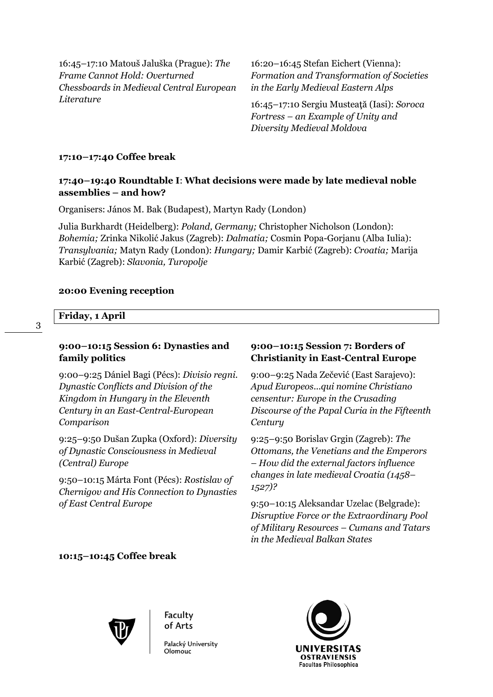16:45–17:10 Matouš Jaluška (Prague): *The Frame Cannot Hold: Overturned Chessboards in Medieval Central European Literature*

16:20–16:45 Stefan Eichert (Vienna): *Formation and Transformation of Societies in the Early Medieval Eastern Alps*

16:45–17:10 Sergiu Musteaţă (Iasi): *Soroca Fortress – an Example of Unity and Diversity Medieval Moldova*

#### **17:10–17:40 Coffee break**

## **17:40–19:40 Roundtable I**: **What decisions were made by late medieval noble assemblies – and how?**

Organisers: János M. Bak (Budapest), Martyn Rady (London)

Julia Burkhardt (Heidelberg): *Poland, Germany;* Christopher Nicholson (London): *Bohemia;* Zrinka Nikolić Jakus (Zagreb): *Dalmatia;* Cosmin Popa-Gorjanu (Alba Iulia): *Transylvania;* Matyn Rady (London): *Hungary;* Damir Karbić (Zagreb): *Croatia;* Marija Karbić (Zagreb): *Slavonia, Turopolje*

#### **20:00 Evening reception**

#### **Friday, 1 April**

#### **9:00–10:15 Session 6: Dynasties and family politics**

9:00–9:25 Dániel Bagi (Pécs): *Divisio regni. Dynastic Conflicts and Division of the Kingdom in Hungary in the Eleventh Century in an East-Central-European Comparison*

9:25–9:50 Dušan Zupka (Oxford): *Diversity of Dynastic Consciousness in Medieval (Central) Europe*

9:50–10:15 Márta Font (Pécs): *Rostislav of Chernigov and His Connection to Dynasties of East Central Europe*

## **9:00–10:15 Session 7: Borders of Christianity in East-Central Europe**

9:00–9:25 Nada Zečević (East Sarajevo): *Apud Europeos...qui nomine Christiano censentur: Europe in the Crusading Discourse of the Papal Curia in the Fifteenth Century*

9:25–9:50 Borislav Grgin (Zagreb): *The Ottomans, the Venetians and the Emperors – How did the external factors influence changes in late medieval Croatia (1458– 1527)?*

9:50–10:15 Aleksandar Uzelac (Belgrade): *Disruptive Force or the Extraordinary Pool of Military Resources – Cumans and Tatars in the Medieval Balkan States*

### **10:15–10:45 Coffee break**



Faculty of Arts

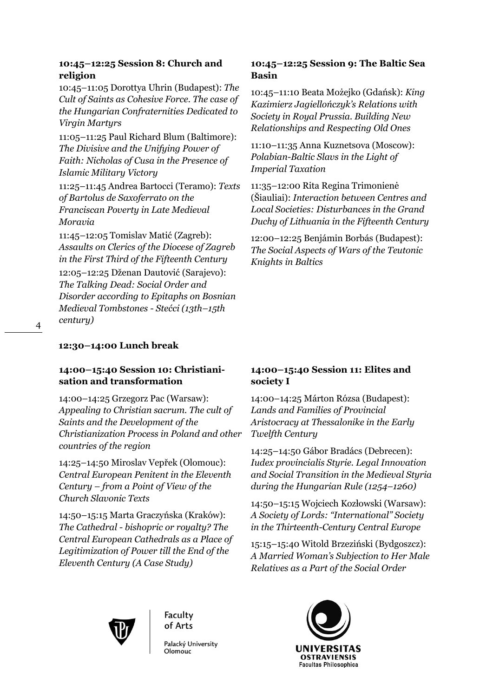## **10:45–12:25 Session 8: Church and religion**

10:45–11:05 Dorottya Uhrin (Budapest): *The Cult of Saints as Cohesive Force. The case of the Hungarian Confraternities Dedicated to Virgin Martyrs*

11:05–11:25 Paul Richard Blum (Baltimore): *The Divisive and the Unifying Power of Faith: Nicholas of Cusa in the Presence of Islamic Military Victory*

11:25–11:45 Andrea Bartocci (Teramo): *Texts of Bartolus de Saxoferrato on the Franciscan Poverty in Late Medieval Moravia*

11:45–12:05 Tomislav Matić (Zagreb): *Assaults on Clerics of the Diocese of Zagreb in the First Third of the Fifteenth Century* 12:05–12:25 Dženan Dautović (Sarajevo): *The Talking Dead: Social Order and Disorder according to Epitaphs on Bosnian Medieval Tombstones - Stećci (13th–15th century)*

# **12:30–14:00 Lunch break**

# **14:00–15:40 Session 10: Christianisation and transformation**

14:00–14:25 Grzegorz Pac (Warsaw): *Appealing to Christian sacrum. The cult of Saints and the Development of the Christianization Process in Poland and other countries of the region*

14:25–14:50 Miroslav Vepřek (Olomouc): *Central European Penitent in the Eleventh Century – from a Point of View of the Church Slavonic Texts*

14:50–15:15 Marta Graczyńska (Kraków): *The Cathedral - bishopric or royalty? The Central European Cathedrals as a Place of Legitimization of Power till the End of the Eleventh Century (A Case Study)*

# **10:45–12:25 Session 9: The Baltic Sea Basin**

10:45–11:10 Beata Możejko (Gdańsk): *King Kazimierz Jagiellończyk's Relations with Society in Royal Prussia. Building New Relationships and Respecting Old Ones*

11:10–11:35 Anna Kuznetsova (Moscow): *Polabian-Baltic Slavs in the Light of Imperial Taxation*

11:35–12:00 Rita Regina Trimonienė (Šiauliai): *Interaction between Centres and Local Societies: Disturbances in the Grand Duchy of Lithuania in the Fifteenth Century*

12:00–12:25 Benjámin Borbás (Budapest): *The Social Aspects of Wars of the Teutonic Knights in Baltics*

# **14:00–15:40 Session 11: Elites and society I**

14:00–14:25 Márton Rózsa (Budapest): *Lands and Families of Provincial Aristocracy at Thessalonike in the Early Twelfth Century*

14:25–14:50 Gábor Bradács (Debrecen): *Iudex provincialis Styrie. Legal Innovation and Social Transition in the Medieval Styria during the Hungarian Rule (1254–1260)*

14:50–15:15 Wojciech Kozłowski (Warsaw): *A Society of Lords: "International" Society in the Thirteenth-Century Central Europe*

15:15–15:40 Witold Brzeziński (Bydgoszcz): *A Married Woman's Subjection to Her Male Relatives as a Part of the Social Order* 



Faculty of Arts

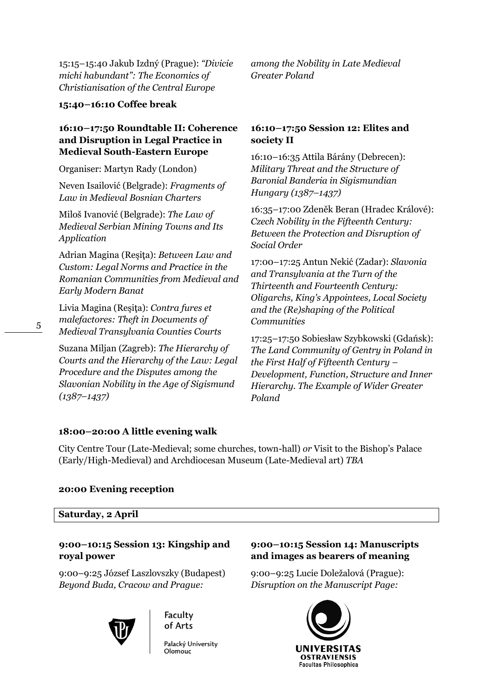15:15–15:40 Jakub Izdný (Prague): *"Divicie michi habundant": The Economics of Christianisation of the Central Europe*

**15:40–16:10 Coffee break**

### **16:10–17:50 Roundtable II: Coherence and Disruption in Legal Practice in Medieval South-Eastern Europe**

Organiser: Martyn Rady (London)

Neven Isailović (Belgrade): *Fragments of Law in Medieval Bosnian Charters*

Miloš Ivanović (Belgrade): *The Law of Medieval Serbian Mining Towns and Its Application*

Adrian Magina (Reşiţa): *Between Law and Custom: Legal Norms and Practice in the Romanian Communities from Medieval and Early Modern Banat*

Livia Magina (Reşiţa): *Contra fures et malefactores: Theft in Documents of Medieval Transylvania Counties Courts*

Suzana Miljan (Zagreb): *The Hierarchy of Courts and the Hierarchy of the Law: Legal Procedure and the Disputes among the Slavonian Nobility in the Age of Sigismund (1387–1437)*

*among the Nobility in Late Medieval Greater Poland*

# **16:10–17:50 Session 12: Elites and society II**

16:10–16:35 Attila Bárány (Debrecen): *Military Threat and the Structure of Baronial Banderia in Sigismundian Hungary (1387–1437)*

16:35–17:00 Zdeněk Beran (Hradec Králové): *Czech Nobility in the Fifteenth Century: Between the Protection and Disruption of Social Order*

17:00–17:25 Antun Nekić (Zadar): *Slavonia and Transylvania at the Turn of the Thirteenth and Fourteenth Century: Oligarchs, King's Appointees, Local Society and the (Re)shaping of the Political Communities*

17:25–17:50 Sobiesław Szybkowski (Gdańsk): *The Land Community of Gentry in Poland in the First Half of Fifteenth Century – Development, Function, Structure and Inner Hierarchy. The Example of Wider Greater Poland*

# **18:00–20:00 A little evening walk**

City Centre Tour (Late-Medieval; some churches, town-hall) *or* Visit to the Bishop's Palace (Early/High-Medieval) and Archdiocesan Museum (Late-Medieval art) *TBA*

#### **20:00 Evening reception**

#### **Saturday, 2 April**

# **9:00–10:15 Session 13: Kingship and royal power**

9:00–9:25 József Laszlovszky (Budapest) *Beyond Buda, Cracow and Prague:* 

# Faculty of Arts

Palacký University

# **9:00–10:15 Session 14: Manuscripts and images as bearers of meaning**

9:00–9:25 Lucie Doležalová (Prague): *Disruption on the Manuscript Page:*